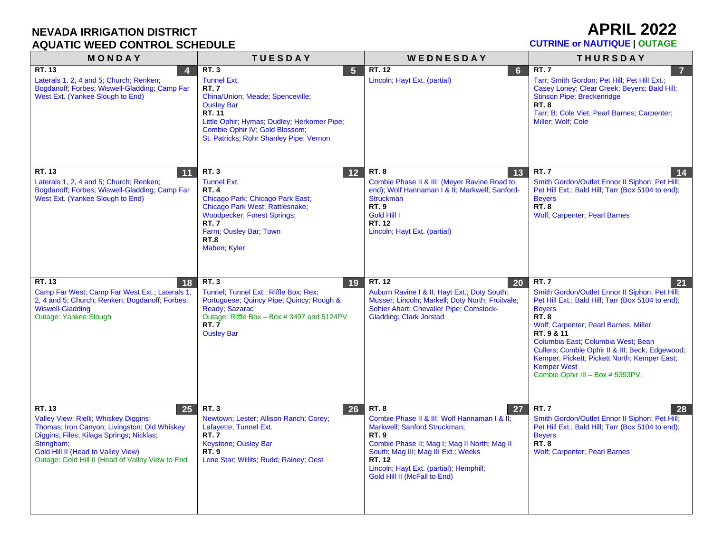### **APRIL 2022**

| MONDAY                                                                                                                                                                                                                                                    | <b>TUESDAY</b>                                                                                                                                                                                                                                                    | WEDNESDAY                                                                                                                                                                                                                                                                                    | <b>THURSDAY</b>                                                                                                                                                                                                                                                                                                                                                                                                     |
|-----------------------------------------------------------------------------------------------------------------------------------------------------------------------------------------------------------------------------------------------------------|-------------------------------------------------------------------------------------------------------------------------------------------------------------------------------------------------------------------------------------------------------------------|----------------------------------------------------------------------------------------------------------------------------------------------------------------------------------------------------------------------------------------------------------------------------------------------|---------------------------------------------------------------------------------------------------------------------------------------------------------------------------------------------------------------------------------------------------------------------------------------------------------------------------------------------------------------------------------------------------------------------|
| RT. 13<br>$\overline{4}$<br>Laterals 1, 2, 4 and 5; Church; Renken;<br>Bogdanoff: Forbes: Wiswell-Gladding: Camp Far<br>West Ext. (Yankee Slough to End)                                                                                                  | <b>RT.3</b><br>$5\phantom{1}$<br><b>Tunnel Ext.</b><br><b>RT.7</b><br>China/Union; Meade; Spenceville;<br><b>Ousley Bar</b><br>RT. 11<br>Little Ophir; Hymas; Dudley; Herkomer Pipe;<br>Combie Ophir IV; Gold Blossom;<br>St. Patricks; Rohr Shanley Pipe; Vernon | RT. 12<br>6<br>Lincoln; Hayt Ext. (partial)                                                                                                                                                                                                                                                  | <b>RT.7</b><br>$\overline{7}$<br>Tarr; Smith Gordon; Pet Hill; Pet Hill Ext.;<br>Casey Loney; Clear Creek; Beyers; Bald Hill;<br><b>Stinson Pipe: Breckenridge</b><br><b>RT.8</b><br>Tarr; B; Cole Viet; Pearl Barnes; Carpenter;<br>Miller; Wolf; Cole                                                                                                                                                             |
| RT. 13<br>11<br>Laterals 1, 2, 4 and 5; Church; Renken;<br>Bogdanoff; Forbes; Wiswell-Gladding; Camp Far<br>West Ext. (Yankee Slough to End)                                                                                                              | <b>RT.3</b><br>12<br><b>Tunnel Ext.</b><br><b>RT.4</b><br>Chicago Park; Chicago Park East;<br>Chicago Park West; Rattlesnake;<br><b>Woodpecker</b> ; Forest Springs;<br><b>RT.7</b><br>Farm; Ousley Bar; Town<br><b>RT.8</b><br>Maben; Kyler                      | <b>RT.8</b><br>13<br>Combie Phase II & III; (Meyer Ravine Road to<br>end); Wolf Hannaman I & II; Markwell; Sanford-<br><b>Struckman</b><br><b>RT.9</b><br>Gold Hill I<br>RT. 12<br>Lincoln; Hayt Ext. (partial)                                                                              | <b>RT.7</b><br>14<br>Smith Gordon/Outlet Ennor II Siphon: Pet Hill;<br>Pet Hill Ext.; Bald Hill; Tarr (Box 5104 to end);<br><b>Bevers</b><br><b>RT. 8</b><br><b>Wolf; Carpenter; Pearl Barnes</b>                                                                                                                                                                                                                   |
| RT. 13<br>18<br>Camp Far West; Camp Far West Ext.; Laterals 1,<br>2, 4 and 5; Church; Renken; Bogdanoff; Forbes;<br><b>Wiswell-Gladding</b><br>Outage: Yankee Slough                                                                                      | <b>RT.3</b><br>19<br>Tunnel; Tunnel Ext.; Riffle Box; Rex;<br>Portuguese; Quincy Pipe; Quincy; Rough &<br>Ready; Sazarac<br>Outage: Riffle Box - Box # 3497 and 5124PV<br><b>RT.7</b><br><b>Ousley Bar</b>                                                        | RT. 12<br>20<br>Auburn Ravine I & II; Hayt Ext.; Doty South;<br>Musser; Lincoln; Markell; Doty North; Fruitvale;<br>Sohier Ahart; Chevalier Pipe; Comstock-<br><b>Gladding; Clark Jorstad</b>                                                                                                | <b>RT.7</b><br>21<br>Smith Gordon/Outlet Ennor II Siphon; Pet Hill;<br>Pet Hill Ext.; Bald Hill; Tarr (Box 5104 to end);<br><b>Beyers</b><br><b>RT. 8</b><br>Wolf; Carpenter; Pearl Barnes, Miller<br>RT. 9 & 11<br>Columbia East; Columbia West; Bean<br>Cullers; Combie Ophir II & III; Beck; Edgewood;<br>Kemper; Pickett; Pickett North; Kemper East;<br><b>Kemper West</b><br>Combie Ophir III - Box # 5393PV. |
| RT. 13<br>25<br>Valley View; Rielli; Whiskey Diggins;<br>Thomas; Iron Canyon; Livingston; Old Whiskey<br>Diggins; Files; Kilaga Springs; Nicklas;<br>Stringham;<br>Gold Hill II (Head to Valley View)<br>Outage: Gold Hill II (Head of Valley View to End | <b>RT.3</b><br>26<br>Newtown; Lester; Allison Ranch; Corey;<br>Lafayette; Tunnel Ext.<br><b>RT.7</b><br>Keystone; Ousley Bar<br><b>RT.9</b><br>Lone Star; Willits; Rudd; Rainey; Oest                                                                             | <b>RT.8</b><br>27<br>Combie Phase II & III; Wolf Hannaman I & II;<br>Markwell; Sanford Struckman;<br><b>RT.9</b><br>Combie Phase II; Mag I; Mag II North; Mag II<br>South; Mag III; Mag III Ext.; Weeks<br>RT. 12<br>Lincoln; Hayt Ext. (partial); Hemphill;<br>Gold Hill II (McFall to End) | <b>RT.7</b><br>-28<br>Smith Gordon/Outlet Ennor II Siphon: Pet Hill;<br>Pet Hill Ext.; Bald Hill; Tarr (Box 5104 to end);<br><b>Bevers</b><br><b>RT.8</b><br><b>Wolf; Carpenter; Pearl Barnes</b>                                                                                                                                                                                                                   |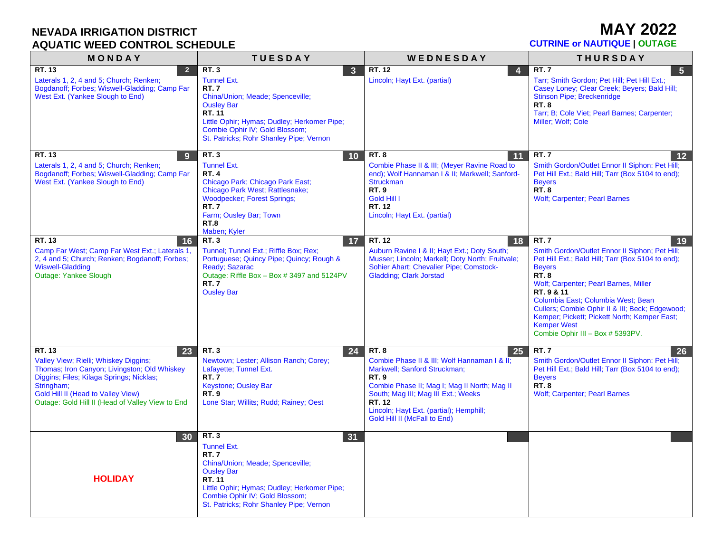**MAY 2022**

| <b>AQUATIC WEED CONTROL SCHEDULE</b>                                                                                                                                                                                                                      | <b>CUTRINE or NAUTIQUE   OUTAGE</b>                                                                                                                                                                                                                                        |                                                                                                                                                                                                                                                                                              |                                                                                                                                                                                                                                                                                                                                                                                                                    |
|-----------------------------------------------------------------------------------------------------------------------------------------------------------------------------------------------------------------------------------------------------------|----------------------------------------------------------------------------------------------------------------------------------------------------------------------------------------------------------------------------------------------------------------------------|----------------------------------------------------------------------------------------------------------------------------------------------------------------------------------------------------------------------------------------------------------------------------------------------|--------------------------------------------------------------------------------------------------------------------------------------------------------------------------------------------------------------------------------------------------------------------------------------------------------------------------------------------------------------------------------------------------------------------|
| MONDAY                                                                                                                                                                                                                                                    | <b>TUESDAY</b>                                                                                                                                                                                                                                                             | WEDNESDAY                                                                                                                                                                                                                                                                                    | <b>THURSDAY</b>                                                                                                                                                                                                                                                                                                                                                                                                    |
| RT. 13<br>$\overline{2}$<br>Laterals 1, 2, 4 and 5; Church; Renken;<br>Bogdanoff; Forbes; Wiswell-Gladding; Camp Far<br>West Ext. (Yankee Slough to End)                                                                                                  | <b>RT.3</b><br>$\overline{\mathbf{3}}$<br><b>Tunnel Ext.</b><br><b>RT.7</b><br>China/Union; Meade; Spenceville;<br><b>Ousley Bar</b><br>RT. 11<br>Little Ophir; Hymas; Dudley; Herkomer Pipe;<br>Combie Ophir IV; Gold Blossom;<br>St. Patricks; Rohr Shanley Pipe; Vernon | RT. 12<br>$\overline{4}$<br>Lincoln; Hayt Ext. (partial)                                                                                                                                                                                                                                     | RT.7<br>5 <sub>5</sub><br>Tarr; Smith Gordon; Pet Hill; Pet Hill Ext.;<br>Casey Loney; Clear Creek; Beyers; Bald Hill;<br><b>Stinson Pipe; Breckenridge</b><br><b>RT.8</b><br>Tarr; B; Cole Viet; Pearl Barnes; Carpenter;<br>Miller; Wolf; Cole                                                                                                                                                                   |
| RT. 13<br>-9<br>Laterals 1, 2, 4 and 5; Church; Renken;<br>Bogdanoff; Forbes; Wiswell-Gladding; Camp Far<br>West Ext. (Yankee Slough to End)                                                                                                              | <b>RT.3</b><br>10<br><b>Tunnel Ext.</b><br><b>RT.4</b><br>Chicago Park; Chicago Park East;<br>Chicago Park West; Rattlesnake;<br><b>Woodpecker</b> ; Forest Springs;<br><b>RT.7</b><br>Farm; Ousley Bar; Town<br><b>RT.8</b><br>Maben; Kyler                               | <b>RT.8</b><br>11<br>Combie Phase II & III; (Meyer Ravine Road to<br>end); Wolf Hannaman I & II; Markwell; Sanford-<br><b>Struckman</b><br><b>RT.9</b><br>Gold Hill I<br><b>RT. 12</b><br>Lincoln; Hayt Ext. (partial)                                                                       | <b>RT.7</b><br>12<br>Smith Gordon/Outlet Ennor II Siphon: Pet Hill;<br>Pet Hill Ext.; Bald Hill; Tarr (Box 5104 to end);<br><b>Beyers</b><br>RT.8<br><b>Wolf; Carpenter; Pearl Barnes</b>                                                                                                                                                                                                                          |
| RT. 13<br>16<br>Camp Far West; Camp Far West Ext.; Laterals 1,<br>2, 4 and 5; Church; Renken; Bogdanoff; Forbes;<br><b>Wiswell-Gladding</b><br>Outage: Yankee Slough                                                                                      | <b>RT.3</b><br>17<br>Tunnel; Tunnel Ext.; Riffle Box; Rex;<br>Portuguese; Quincy Pipe; Quincy; Rough &<br>Ready; Sazarac<br>Outage: Riffle Box - Box # 3497 and 5124PV<br><b>RT.7</b><br><b>Ousley Bar</b>                                                                 | RT. 12<br>18<br>Auburn Ravine I & II; Hayt Ext.; Doty South;<br>Musser; Lincoln; Markell; Doty North; Fruitvale;<br>Sohier Ahart; Chevalier Pipe; Comstock-<br><b>Gladding</b> ; Clark Jorstad                                                                                               | <b>RT.7</b><br>19<br>Smith Gordon/Outlet Ennor II Siphon; Pet Hill;<br>Pet Hill Ext.; Bald Hill; Tarr (Box 5104 to end);<br><b>Beyers</b><br><b>RT.8</b><br>Wolf; Carpenter; Pearl Barnes, Miller<br>RT. 9 & 11<br>Columbia East; Columbia West; Bean<br>Cullers; Combie Ophir II & III; Beck; Edgewood;<br>Kemper; Pickett; Pickett North; Kemper East;<br><b>Kemper West</b><br>Combie Ophir III - Box # 5393PV. |
| RT. 13<br>23<br>Valley View; Rielli; Whiskey Diggins;<br>Thomas; Iron Canyon; Livingston; Old Whiskey<br>Diggins; Files; Kilaga Springs; Nicklas;<br>Stringham;<br>Gold Hill II (Head to Valley View)<br>Outage: Gold Hill II (Head of Valley View to End | RT.3<br>24<br>Newtown; Lester; Allison Ranch; Corey;<br>Lafayette; Tunnel Ext.<br><b>RT.7</b><br>Keystone; Ousley Bar<br><b>RT.9</b><br>Lone Star; Willits; Rudd; Rainey; Oest                                                                                             | <b>RT.8</b><br>25<br>Combie Phase II & III; Wolf Hannaman I & II;<br>Markwell; Sanford Struckman;<br><b>RT.9</b><br>Combie Phase II; Mag I; Mag II North; Mag II<br>South; Mag III; Mag III Ext.; Weeks<br>RT. 12<br>Lincoln; Hayt Ext. (partial); Hemphill;<br>Gold Hill II (McFall to End) | <b>RT.7</b><br>26<br>Smith Gordon/Outlet Ennor II Siphon: Pet Hill;<br>Pet Hill Ext.; Bald Hill; Tarr (Box 5104 to end);<br><b>Beyers</b><br><b>RT. 8</b><br><b>Wolf; Carpenter; Pearl Barnes</b>                                                                                                                                                                                                                  |
| 30<br><b>HOLIDAY</b>                                                                                                                                                                                                                                      | <b>RT.3</b><br>31<br>Tunnel Ext.<br><b>RT.7</b><br>China/Union; Meade; Spenceville;<br><b>Ousley Bar</b><br>RT. 11<br>Little Ophir; Hymas; Dudley; Herkomer Pipe;<br>Combie Ophir IV; Gold Blossom;<br>St. Patricks; Rohr Shanley Pipe; Vernon                             |                                                                                                                                                                                                                                                                                              |                                                                                                                                                                                                                                                                                                                                                                                                                    |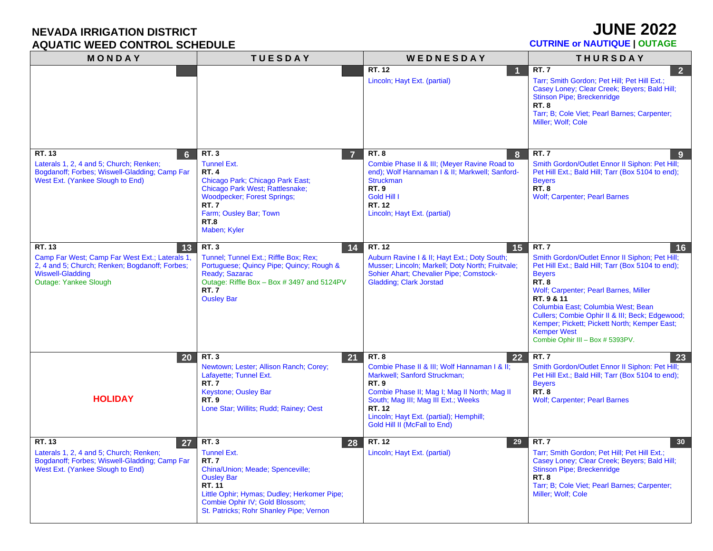**JUNE 2022**

| MONDAY                                                                                                                       | <b>TUESDAY</b>                                                                                                                                                                                                         | WEDNESDAY                                                                                                                                                                                                               | <b>THURSDAY</b>                                                                                                                                                                                                                                                                                                                             |
|------------------------------------------------------------------------------------------------------------------------------|------------------------------------------------------------------------------------------------------------------------------------------------------------------------------------------------------------------------|-------------------------------------------------------------------------------------------------------------------------------------------------------------------------------------------------------------------------|---------------------------------------------------------------------------------------------------------------------------------------------------------------------------------------------------------------------------------------------------------------------------------------------------------------------------------------------|
|                                                                                                                              |                                                                                                                                                                                                                        | RT.12<br>Lincoln; Hayt Ext. (partial)                                                                                                                                                                                   | <b>RT.7</b><br>$\overline{2}$<br>Tarr; Smith Gordon; Pet Hill; Pet Hill Ext.;<br>Casey Loney; Clear Creek; Beyers; Bald Hill;<br><b>Stinson Pipe; Breckenridge</b><br><b>RT.8</b><br>Tarr; B; Cole Viet; Pearl Barnes; Carpenter;<br>Miller; Wolf; Cole                                                                                     |
| RT. 13<br>$6\phantom{1}6$                                                                                                    | <b>RT.3</b><br>$\overline{7}$                                                                                                                                                                                          | <b>RT.8</b><br>$\bf{8}$                                                                                                                                                                                                 | <b>RT.7</b><br>-9                                                                                                                                                                                                                                                                                                                           |
| Laterals 1, 2, 4 and 5; Church; Renken;<br>Bogdanoff; Forbes; Wiswell-Gladding; Camp Far<br>West Ext. (Yankee Slough to End) | <b>Tunnel Ext.</b><br><b>RT.4</b><br>Chicago Park; Chicago Park East;<br>Chicago Park West; Rattlesnake;<br><b>Woodpecker; Forest Springs;</b><br><b>RT.7</b><br>Farm; Ousley Bar; Town<br><b>RT.8</b><br>Maben; Kyler | Combie Phase II & III; (Meyer Ravine Road to<br>end); Wolf Hannaman I & II; Markwell; Sanford-<br><b>Struckman</b><br><b>RT.9</b><br>Gold Hill I<br>RT. 12<br>Lincoln; Hayt Ext. (partial)                              | Smith Gordon/Outlet Ennor II Siphon: Pet Hill;<br>Pet Hill Ext.; Bald Hill; Tarr (Box 5104 to end);<br><b>Beyers</b><br><b>RT.8</b><br><b>Wolf; Carpenter; Pearl Barnes</b>                                                                                                                                                                 |
| RT. 13<br>13<br>Camp Far West; Camp Far West Ext.; Laterals 1,                                                               | RT.3<br>14<br>Tunnel; Tunnel Ext.; Riffle Box; Rex;                                                                                                                                                                    | RT. 12<br>15<br>Auburn Ravine I & II; Hayt Ext.; Doty South;                                                                                                                                                            | <b>RT.7</b><br>16<br>Smith Gordon/Outlet Ennor II Siphon; Pet Hill;                                                                                                                                                                                                                                                                         |
| 2, 4 and 5; Church; Renken; Bogdanoff; Forbes;<br><b>Wiswell-Gladding</b><br><b>Outage: Yankee Slough</b>                    | Portuguese; Quincy Pipe; Quincy; Rough &<br>Ready; Sazarac<br>Outage: Riffle Box - Box # 3497 and 5124PV<br>RT.7<br><b>Ousley Bar</b>                                                                                  | Musser; Lincoln; Markell; Doty North; Fruitvale;<br>Sohier Ahart; Chevalier Pipe; Comstock-<br><b>Gladding</b> ; Clark Jorstad                                                                                          | Pet Hill Ext.; Bald Hill; Tarr (Box 5104 to end);<br><b>Beyers</b><br><b>RT.8</b><br>Wolf; Carpenter; Pearl Barnes, Miller<br>RT. 9 & 11<br>Columbia East; Columbia West; Bean<br>Cullers; Combie Ophir II & III; Beck; Edgewood;<br>Kemper; Pickett; Pickett North; Kemper East;<br><b>Kemper West</b><br>Combie Ophir III - Box # 5393PV. |
| 20                                                                                                                           | RT.3<br>21<br>Newtown; Lester; Allison Ranch; Corey;                                                                                                                                                                   | <b>RT.8</b><br>22<br>Combie Phase II & III; Wolf Hannaman I & II;                                                                                                                                                       | RT.7<br>23<br>Smith Gordon/Outlet Ennor II Siphon: Pet Hill;                                                                                                                                                                                                                                                                                |
| <b>HOLIDAY</b>                                                                                                               | Lafayette; Tunnel Ext.<br><b>RT.7</b><br>Keystone; Ousley Bar<br><b>RT.9</b><br>Lone Star; Willits; Rudd; Rainey; Oest                                                                                                 | Markwell; Sanford Struckman;<br><b>RT.9</b><br>Combie Phase II; Mag I; Mag II North; Mag II<br>South; Mag III; Mag III Ext.; Weeks<br>RT. 12<br>Lincoln; Hayt Ext. (partial); Hemphill;<br>Gold Hill II (McFall to End) | Pet Hill Ext.; Bald Hill; Tarr (Box 5104 to end);<br><b>Beyers</b><br><b>RT.8</b><br><b>Wolf; Carpenter; Pearl Barnes</b>                                                                                                                                                                                                                   |
| RT. 13<br>27<br>Laterals 1, 2, 4 and 5; Church; Renken;                                                                      | <b>RT.3</b><br>28<br><b>Tunnel Ext.</b>                                                                                                                                                                                | RT. 12<br>29<br>Lincoln; Hayt Ext. (partial)                                                                                                                                                                            | <b>RT.7</b><br>30<br>Tarr; Smith Gordon; Pet Hill; Pet Hill Ext.;                                                                                                                                                                                                                                                                           |
| Bogdanoff; Forbes; Wiswell-Gladding; Camp Far<br>West Ext. (Yankee Slough to End)                                            | <b>RT.7</b><br>China/Union; Meade; Spenceville;<br><b>Ousley Bar</b><br>RT. 11<br>Little Ophir; Hymas; Dudley; Herkomer Pipe;<br>Combie Ophir IV; Gold Blossom;<br>St. Patricks; Rohr Shanley Pipe; Vernon             |                                                                                                                                                                                                                         | Casey Loney; Clear Creek; Beyers; Bald Hill;<br><b>Stinson Pipe; Breckenridge</b><br><b>RT.8</b><br>Tarr; B; Cole Viet; Pearl Barnes; Carpenter;<br>Miller; Wolf; Cole                                                                                                                                                                      |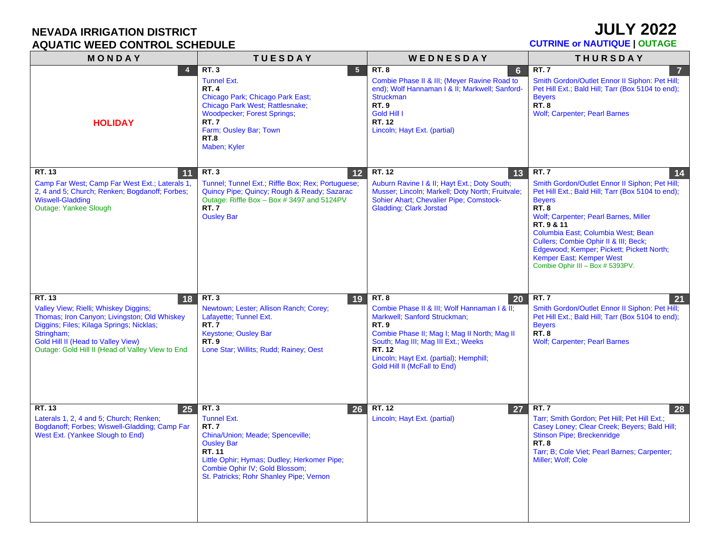# **JULY 2022**

| MONDAY                                                                                                                                                                                                                                                    | <b>TUESDAY</b>                                                                                                                                                                                                                                        | WEDNESDAY                                                                                                                                                                                                                                                                                           | <b>THURSDAY</b>                                                                                                                                                                                                                                                                                                                                                                                             |
|-----------------------------------------------------------------------------------------------------------------------------------------------------------------------------------------------------------------------------------------------------------|-------------------------------------------------------------------------------------------------------------------------------------------------------------------------------------------------------------------------------------------------------|-----------------------------------------------------------------------------------------------------------------------------------------------------------------------------------------------------------------------------------------------------------------------------------------------------|-------------------------------------------------------------------------------------------------------------------------------------------------------------------------------------------------------------------------------------------------------------------------------------------------------------------------------------------------------------------------------------------------------------|
| 4<br><b>HOLIDAY</b>                                                                                                                                                                                                                                       | <b>RT.3</b><br>$5\phantom{.0}$<br><b>Tunnel Ext.</b><br><b>RT.4</b><br>Chicago Park; Chicago Park East;<br>Chicago Park West; Rattlesnake;<br><b>Woodpecker; Forest Springs;</b><br><b>RT.7</b><br>Farm; Ousley Bar; Town<br>RT.8<br>Maben; Kyler     | <b>RT.8</b><br>$6\phantom{1}6$<br>Combie Phase II & III; (Meyer Ravine Road to<br>end); Wolf Hannaman I & II; Markwell; Sanford-<br><b>Struckman</b><br><b>RT.9</b><br>Gold Hill I<br>RT. 12<br>Lincoln; Hayt Ext. (partial)                                                                        | <b>RT.7</b><br>$\overline{7}$<br>Smith Gordon/Outlet Ennor II Siphon: Pet Hill;<br>Pet Hill Ext.; Bald Hill; Tarr (Box 5104 to end);<br><b>Beyers</b><br><b>RT.8</b><br><b>Wolf; Carpenter; Pearl Barnes</b>                                                                                                                                                                                                |
| RT. 13<br>11<br>Camp Far West; Camp Far West Ext.; Laterals 1,<br>2, 4 and 5; Church; Renken; Bogdanoff; Forbes;<br><b>Wiswell-Gladding</b><br>Outage: Yankee Slough                                                                                      | <b>RT.3</b><br>12<br>Tunnel; Tunnel Ext.; Riffle Box; Rex; Portuguese;<br>Quincy Pipe; Quincy; Rough & Ready; Sazarac<br>Outage: Riffle Box - Box # 3497 and 5124PV<br><b>RT.7</b><br><b>Ousley Bar</b>                                               | RT. 12<br>13<br>Auburn Ravine I & II; Hayt Ext.; Doty South;<br>Musser; Lincoln; Markell; Doty North; Fruitvale;<br>Sohier Ahart; Chevalier Pipe; Comstock-<br><b>Gladding; Clark Jorstad</b>                                                                                                       | <b>RT.7</b><br>14<br>Smith Gordon/Outlet Ennor II Siphon; Pet Hill;<br>Pet Hill Ext.; Bald Hill; Tarr (Box 5104 to end);<br><b>Beyers</b><br><b>RT.8</b><br>Wolf; Carpenter; Pearl Barnes, Miller<br>RT. 9 & 11<br>Columbia East; Columbia West; Bean<br>Cullers; Combie Ophir II & III; Beck;<br>Edgewood; Kemper; Pickett; Pickett North;<br>Kemper East; Kemper West<br>Combie Ophir III - Box # 5393PV. |
| RT. 13<br>18<br>Valley View; Rielli; Whiskey Diggins;<br>Thomas; Iron Canyon; Livingston; Old Whiskey<br>Diggins; Files; Kilaga Springs; Nicklas;<br>Stringham;<br>Gold Hill II (Head to Valley View)<br>Outage: Gold Hill II (Head of Valley View to End | <b>RT.3</b><br>19<br>Newtown; Lester; Allison Ranch; Corey;<br>Lafayette; Tunnel Ext.<br><b>RT.7</b><br>Keystone; Ousley Bar<br><b>RT.9</b><br>Lone Star; Willits; Rudd; Rainey; Oest                                                                 | <b>RT.8</b><br>20<br>Combie Phase II & III; Wolf Hannaman I & II;<br>Markwell; Sanford Struckman;<br><b>RT.9</b><br>Combie Phase II; Mag I; Mag II North; Mag II<br>South; Mag III; Mag III Ext.; Weeks<br><b>RT. 12</b><br>Lincoln; Hayt Ext. (partial); Hemphill;<br>Gold Hill II (McFall to End) | <b>RT.7</b><br>21<br>Smith Gordon/Outlet Ennor II Siphon: Pet Hill;<br>Pet Hill Ext.; Bald Hill; Tarr (Box 5104 to end);<br><b>Beyers</b><br><b>RT.8</b><br><b>Wolf; Carpenter; Pearl Barnes</b>                                                                                                                                                                                                            |
| <b>RT. 13</b><br>25<br>Laterals 1, 2, 4 and 5; Church; Renken;<br>Bogdanoff; Forbes; Wiswell-Gladding; Camp Far<br>West Ext. (Yankee Slough to End)                                                                                                       | <b>RT.3</b><br>26<br><b>Tunnel Ext.</b><br><b>RT.7</b><br>China/Union; Meade; Spenceville;<br><b>Ousley Bar</b><br>RT. 11<br>Little Ophir; Hymas; Dudley; Herkomer Pipe;<br>Combie Ophir IV; Gold Blossom;<br>St. Patricks; Rohr Shanley Pipe; Vernon | RT. 12<br>27<br>Lincoln; Hayt Ext. (partial)                                                                                                                                                                                                                                                        | <b>RT.7</b><br>28<br>Tarr; Smith Gordon; Pet Hill; Pet Hill Ext.;<br>Casey Loney; Clear Creek; Beyers; Bald Hill;<br><b>Stinson Pipe; Breckenridge</b><br><b>RT.8</b><br>Tarr; B; Cole Viet; Pearl Barnes; Carpenter;<br>Miller; Wolf; Cole                                                                                                                                                                 |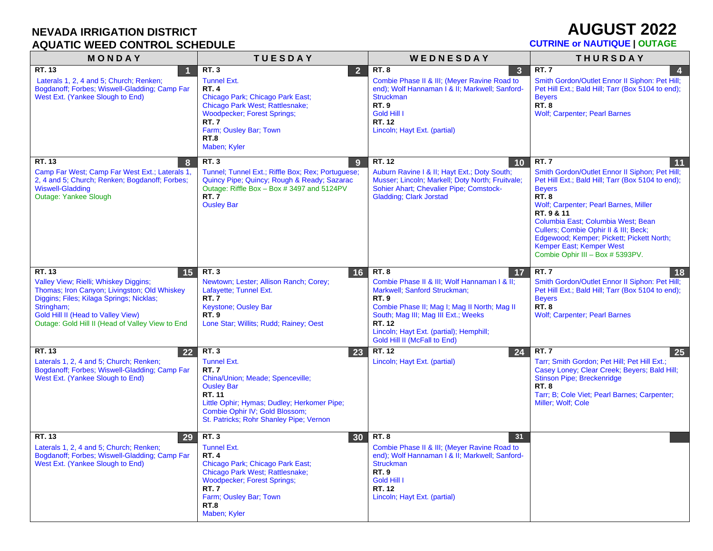## **AUGUST 2022**

| MONDAY                                                                                                                                                                                                                                                           | <b>TUESDAY</b>                                                                                                                                                                                                                                        | WEDNESDAY                                                                                                                                                                                                                                                                                    | <b>THURSDAY</b>                                                                                                                                                                                                                                                                                                                                                                                      |
|------------------------------------------------------------------------------------------------------------------------------------------------------------------------------------------------------------------------------------------------------------------|-------------------------------------------------------------------------------------------------------------------------------------------------------------------------------------------------------------------------------------------------------|----------------------------------------------------------------------------------------------------------------------------------------------------------------------------------------------------------------------------------------------------------------------------------------------|------------------------------------------------------------------------------------------------------------------------------------------------------------------------------------------------------------------------------------------------------------------------------------------------------------------------------------------------------------------------------------------------------|
| RT. 13<br>Laterals 1, 2, 4 and 5; Church; Renken;<br>Bogdanoff; Forbes; Wiswell-Gladding; Camp Far<br>West Ext. (Yankee Slough to End)                                                                                                                           | <b>RT.3</b><br>2 <sup>1</sup><br><b>Tunnel Ext.</b><br><b>RT.4</b><br>Chicago Park; Chicago Park East;<br>Chicago Park West; Rattlesnake;<br><b>Woodpecker</b> ; Forest Springs;<br>RT.7<br>Farm; Ousley Bar; Town<br><b>RT.8</b><br>Maben; Kyler     | <b>RT.8</b><br>$\overline{\mathbf{3}}$<br>Combie Phase II & III; (Meyer Ravine Road to<br>end); Wolf Hannaman I & II; Markwell; Sanford-<br><b>Struckman</b><br><b>RT.9</b><br>Gold Hill I<br>RT. 12<br>Lincoln; Hayt Ext. (partial)                                                         | <b>RT.7</b><br>$\overline{\mathbf{4}}$<br>Smith Gordon/Outlet Ennor II Siphon: Pet Hill;<br>Pet Hill Ext.; Bald Hill; Tarr (Box 5104 to end);<br><b>Beyers</b><br><b>RT.8</b><br><b>Wolf; Carpenter; Pearl Barnes</b>                                                                                                                                                                                |
| RT. $13$<br>8<br>Camp Far West; Camp Far West Ext.; Laterals 1,<br>2, 4 and 5; Church; Renken; Bogdanoff; Forbes;<br><b>Wiswell-Gladding</b><br>Outage: Yankee Slough                                                                                            | <b>RT.3</b><br>9<br>Tunnel; Tunnel Ext.; Riffle Box; Rex; Portuguese;<br>Quincy Pipe; Quincy; Rough & Ready; Sazarac<br>Outage: Riffle Box - Box # 3497 and 5124PV<br><b>RT.7</b><br><b>Ousley Bar</b>                                                | RT.12<br>10<br>Auburn Ravine I & II; Hayt Ext.; Doty South;<br>Musser; Lincoln; Markell; Doty North; Fruitvale;<br>Sohier Ahart; Chevalier Pipe; Comstock-<br><b>Gladding</b> ; Clark Jorstad                                                                                                | RT.7<br>11<br>Smith Gordon/Outlet Ennor II Siphon; Pet Hill;<br>Pet Hill Ext.; Bald Hill; Tarr (Box 5104 to end);<br><b>Beyers</b><br><b>RT.8</b><br>Wolf; Carpenter; Pearl Barnes, Miller<br>RT. 9 & 11<br>Columbia East; Columbia West; Bean<br>Cullers; Combie Ophir II & III; Beck;<br>Edgewood; Kemper; Pickett; Pickett North;<br>Kemper East; Kemper West<br>Combie Ophir III - Box # 5393PV. |
| RT. 13<br>15<br>Valley View; Rielli; Whiskey Diggins;<br>Thomas; Iron Canyon; Livingston; Old Whiskey<br>Diggins; Files; Kilaga Springs; Nicklas;<br>Stringham;<br><b>Gold Hill II (Head to Valley View)</b><br>Outage: Gold Hill II (Head of Valley View to End | <b>RT.3</b><br>16<br>Newtown; Lester; Allison Ranch; Corey;<br>Lafayette; Tunnel Ext.<br><b>RT.7</b><br><b>Keystone; Ousley Bar</b><br><b>RT.9</b><br>Lone Star; Willits; Rudd; Rainey; Oest                                                          | <b>RT.8</b><br>17<br>Combie Phase II & III; Wolf Hannaman I & II;<br>Markwell; Sanford Struckman;<br><b>RT.9</b><br>Combie Phase II; Mag I; Mag II North; Mag II<br>South; Mag III; Mag III Ext.; Weeks<br>RT. 12<br>Lincoln; Hayt Ext. (partial); Hemphill;<br>Gold Hill II (McFall to End) | <b>RT.7</b><br>18<br>Smith Gordon/Outlet Ennor II Siphon: Pet Hill;<br>Pet Hill Ext.; Bald Hill; Tarr (Box 5104 to end);<br><b>Bevers</b><br><b>RT.8</b><br><b>Wolf; Carpenter; Pearl Barnes</b>                                                                                                                                                                                                     |
| RT. 13<br>22<br>Laterals 1, 2, 4 and 5; Church; Renken;<br>Bogdanoff; Forbes; Wiswell-Gladding; Camp Far<br>West Ext. (Yankee Slough to End)                                                                                                                     | <b>RT.3</b><br>23<br><b>Tunnel Ext.</b><br><b>RT.7</b><br>China/Union; Meade; Spenceville;<br><b>Ousley Bar</b><br>RT. 11<br>Little Ophir; Hymas; Dudley; Herkomer Pipe;<br>Combie Ophir IV; Gold Blossom;<br>St. Patricks; Rohr Shanley Pipe; Vernon | RT. 12<br>24<br>Lincoln; Hayt Ext. (partial)                                                                                                                                                                                                                                                 | <b>RT.7</b><br>25<br>Tarr; Smith Gordon; Pet Hill; Pet Hill Ext.;<br>Casey Loney; Clear Creek; Beyers; Bald Hill;<br>Stinson Pipe; Breckenridge<br><b>RT.8</b><br>Tarr; B; Cole Viet; Pearl Barnes; Carpenter;<br>Miller; Wolf; Cole                                                                                                                                                                 |
| RT. 13<br>29<br>Laterals 1, 2, 4 and 5; Church; Renken;<br>Bogdanoff; Forbes; Wiswell-Gladding; Camp Far<br>West Ext. (Yankee Slough to End)                                                                                                                     | <b>RT.3</b><br>30<br><b>Tunnel Ext.</b><br><b>RT.4</b><br>Chicago Park; Chicago Park East;<br>Chicago Park West; Rattlesnake;<br><b>Woodpecker</b> ; Forest Springs;<br><b>RT.7</b><br>Farm; Ousley Bar; Town<br><b>RT.8</b><br>Maben; Kyler          | <b>RT.8</b><br>31<br>Combie Phase II & III; (Meyer Ravine Road to<br>end); Wolf Hannaman I & II; Markwell; Sanford-<br><b>Struckman</b><br><b>RT.9</b><br>Gold Hill I<br><b>RT. 12</b><br>Lincoln; Hayt Ext. (partial)                                                                       |                                                                                                                                                                                                                                                                                                                                                                                                      |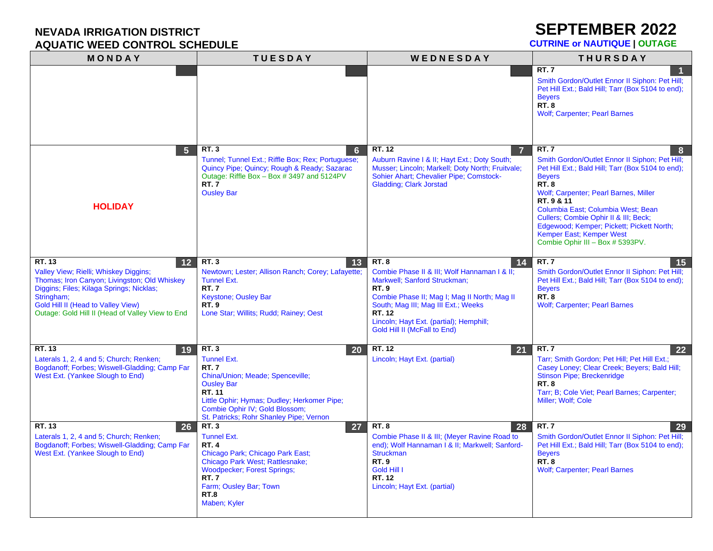### **SEPTEMBER 2022**

| MONDAY                                                                                                                                                                                                                                                    | <b>TUESDAY</b>                                                                                                                                                                                                                                                      | WEDNESDAY                                                                                                                                                                                                                                                                                           | <b>THURSDAY</b>                                                                                                                                                                                                                                                                                                                                                                                            |
|-----------------------------------------------------------------------------------------------------------------------------------------------------------------------------------------------------------------------------------------------------------|---------------------------------------------------------------------------------------------------------------------------------------------------------------------------------------------------------------------------------------------------------------------|-----------------------------------------------------------------------------------------------------------------------------------------------------------------------------------------------------------------------------------------------------------------------------------------------------|------------------------------------------------------------------------------------------------------------------------------------------------------------------------------------------------------------------------------------------------------------------------------------------------------------------------------------------------------------------------------------------------------------|
|                                                                                                                                                                                                                                                           |                                                                                                                                                                                                                                                                     |                                                                                                                                                                                                                                                                                                     | <b>RT.7</b><br>Smith Gordon/Outlet Ennor II Siphon: Pet Hill;<br>Pet Hill Ext.; Bald Hill; Tarr (Box 5104 to end);<br><b>Bevers</b><br><b>RT.8</b><br><b>Wolf</b> ; Carpenter; Pearl Barnes                                                                                                                                                                                                                |
| $5\phantom{1}$<br><b>HOLIDAY</b>                                                                                                                                                                                                                          | <b>RT.3</b><br>6<br>Tunnel; Tunnel Ext.; Riffle Box; Rex; Portuguese;<br>Quincy Pipe; Quincy; Rough & Ready; Sazarac<br>Outage: Riffle Box - Box # 3497 and 5124PV<br><b>RT.7</b><br><b>Ousley Bar</b>                                                              | RT. 12<br>7<br>Auburn Ravine I & II; Hayt Ext.; Doty South;<br>Musser; Lincoln; Markell; Doty North; Fruitvale;<br>Sohier Ahart; Chevalier Pipe; Comstock-<br><b>Gladding</b> ; Clark Jorstad                                                                                                       | <b>RT.7</b><br>8<br>Smith Gordon/Outlet Ennor II Siphon; Pet Hill;<br>Pet Hill Ext.; Bald Hill; Tarr (Box 5104 to end);<br><b>Beyers</b><br><b>RT.8</b><br>Wolf; Carpenter; Pearl Barnes, Miller<br>RT. 9 & 11<br>Columbia East; Columbia West; Bean<br>Cullers; Combie Ophir II & III; Beck;<br>Edgewood; Kemper; Pickett; Pickett North;<br>Kemper East; Kemper West<br>Combie Ophir III - Box # 5393PV. |
| RT. 13<br>12<br>Valley View; Rielli; Whiskey Diggins;<br>Thomas; Iron Canyon; Livingston; Old Whiskey<br>Diggins; Files; Kilaga Springs; Nicklas;<br>Stringham;<br>Gold Hill II (Head to Valley View)<br>Outage: Gold Hill II (Head of Valley View to End | <b>RT.3</b><br>13<br>Newtown; Lester; Allison Ranch; Corey; Lafayette;<br><b>Tunnel Ext.</b><br><b>RT.7</b><br><b>Keystone: Ousley Bar</b><br><b>RT.9</b><br>Lone Star; Willits; Rudd; Rainey; Oest                                                                 | <b>RT.8</b><br>14<br>Combie Phase II & III; Wolf Hannaman I & II;<br>Markwell; Sanford Struckman;<br><b>RT.9</b><br>Combie Phase II; Mag I; Mag II North; Mag II<br>South; Mag III; Mag III Ext.; Weeks<br><b>RT. 12</b><br>Lincoln; Hayt Ext. (partial); Hemphill;<br>Gold Hill II (McFall to End) | <b>RT.7</b><br>15<br>Smith Gordon/Outlet Ennor II Siphon: Pet Hill;<br>Pet Hill Ext.; Bald Hill; Tarr (Box 5104 to end);<br><b>Bevers</b><br><b>RT.8</b><br><b>Wolf; Carpenter; Pearl Barnes</b>                                                                                                                                                                                                           |
| RT. 13<br>19<br>Laterals 1, 2, 4 and 5; Church; Renken;<br>Bogdanoff; Forbes; Wiswell-Gladding; Camp Far<br>West Ext. (Yankee Slough to End)                                                                                                              | <b>RT.3</b><br><b>20</b><br><b>Tunnel Ext.</b><br><b>RT.7</b><br>China/Union; Meade; Spenceville;<br><b>Ousley Bar</b><br><b>RT. 11</b><br>Little Ophir; Hymas; Dudley; Herkomer Pipe;<br>Combie Ophir IV; Gold Blossom;<br>St. Patricks; Rohr Shanley Pipe; Vernon | RT. 12<br>21<br>Lincoln; Hayt Ext. (partial)                                                                                                                                                                                                                                                        | <b>RT.7</b><br>22<br>Tarr; Smith Gordon; Pet Hill; Pet Hill Ext.;<br>Casey Loney; Clear Creek; Beyers; Bald Hill;<br><b>Stinson Pipe: Breckenridge</b><br><b>RT.8</b><br>Tarr; B; Cole Viet; Pearl Barnes; Carpenter;<br>Miller; Wolf; Cole                                                                                                                                                                |
| <b>RT. 13</b><br>26<br>Laterals 1, 2, 4 and 5; Church; Renken;<br>Bogdanoff; Forbes; Wiswell-Gladding; Camp Far<br>West Ext. (Yankee Slough to End)                                                                                                       | <b>RT.3</b><br>27<br><b>Tunnel Ext.</b><br><b>RT.4</b><br>Chicago Park; Chicago Park East;<br>Chicago Park West; Rattlesnake;<br><b>Woodpecker</b> ; Forest Springs;<br><b>RT.7</b><br>Farm; Ousley Bar; Town<br><b>RT.8</b><br>Maben; Kyler                        | <b>RT.8</b><br>28<br>Combie Phase II & III; (Meyer Ravine Road to<br>end); Wolf Hannaman I & II; Markwell; Sanford-<br><b>Struckman</b><br><b>RT.9</b><br>Gold Hill I<br>RT. 12<br>Lincoln; Hayt Ext. (partial)                                                                                     | <b>RT.7</b><br>29<br>Smith Gordon/Outlet Ennor II Siphon: Pet Hill;<br>Pet Hill Ext.; Bald Hill; Tarr (Box 5104 to end);<br><b>Beyers</b><br><b>RT.8</b><br><b>Wolf</b> ; Carpenter; Pearl Barnes                                                                                                                                                                                                          |